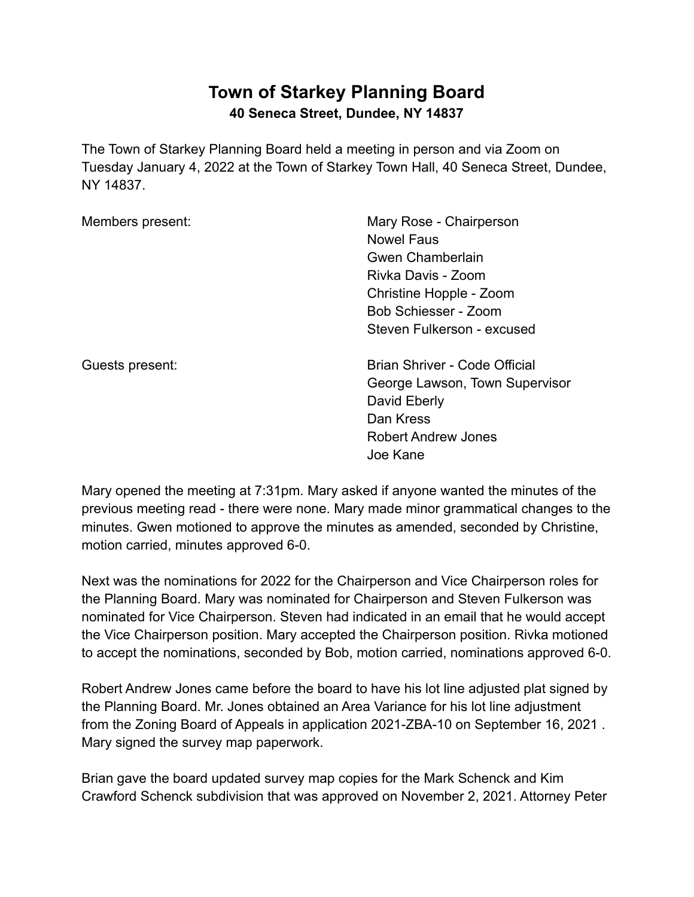## **Town of Starkey Planning Board 40 Seneca Street, Dundee, NY 14837**

The Town of Starkey Planning Board held a meeting in person and via Zoom on Tuesday January 4, 2022 at the Town of Starkey Town Hall, 40 Seneca Street, Dundee, NY 14837.

Members present: Mary Rose - Chairperson Nowel Faus Gwen Chamberlain Rivka Davis - Zoom Christine Hopple - Zoom Bob Schiesser - Zoom Steven Fulkerson - excused

Guests present: Brian Shriver - Code Official George Lawson, Town Supervisor David Eberly Dan Kress Robert Andrew Jones Joe Kane

Mary opened the meeting at 7:31pm. Mary asked if anyone wanted the minutes of the previous meeting read - there were none. Mary made minor grammatical changes to the minutes. Gwen motioned to approve the minutes as amended, seconded by Christine, motion carried, minutes approved 6-0.

Next was the nominations for 2022 for the Chairperson and Vice Chairperson roles for the Planning Board. Mary was nominated for Chairperson and Steven Fulkerson was nominated for Vice Chairperson. Steven had indicated in an email that he would accept the Vice Chairperson position. Mary accepted the Chairperson position. Rivka motioned to accept the nominations, seconded by Bob, motion carried, nominations approved 6-0.

Robert Andrew Jones came before the board to have his lot line adjusted plat signed by the Planning Board. Mr. Jones obtained an Area Variance for his lot line adjustment from the Zoning Board of Appeals in application 2021-ZBA-10 on September 16, 2021 . Mary signed the survey map paperwork.

Brian gave the board updated survey map copies for the Mark Schenck and Kim Crawford Schenck subdivision that was approved on November 2, 2021. Attorney Peter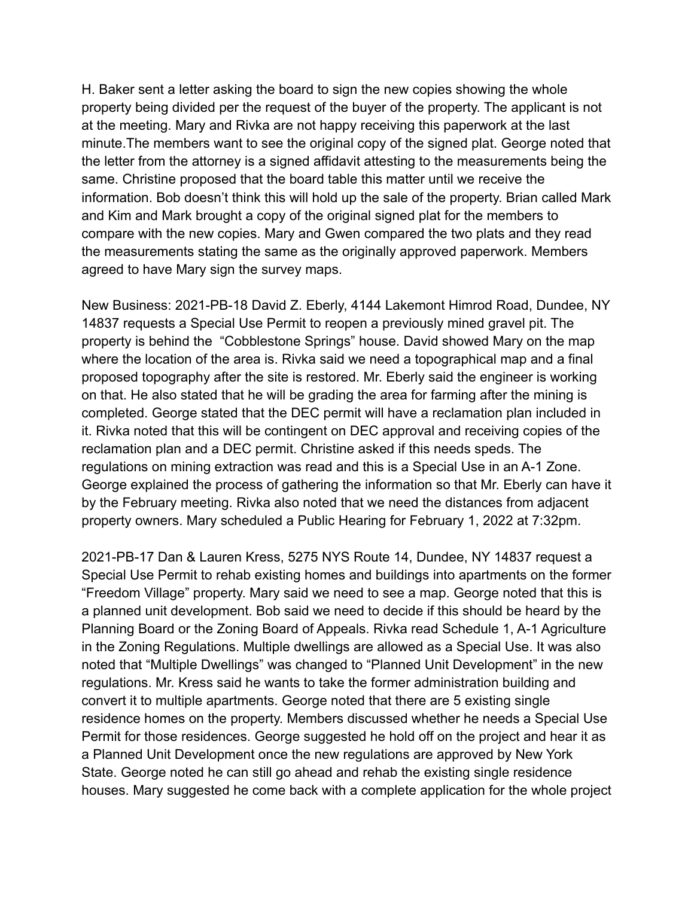H. Baker sent a letter asking the board to sign the new copies showing the whole property being divided per the request of the buyer of the property. The applicant is not at the meeting. Mary and Rivka are not happy receiving this paperwork at the last minute.The members want to see the original copy of the signed plat. George noted that the letter from the attorney is a signed affidavit attesting to the measurements being the same. Christine proposed that the board table this matter until we receive the information. Bob doesn't think this will hold up the sale of the property. Brian called Mark and Kim and Mark brought a copy of the original signed plat for the members to compare with the new copies. Mary and Gwen compared the two plats and they read the measurements stating the same as the originally approved paperwork. Members agreed to have Mary sign the survey maps.

New Business: 2021-PB-18 David Z. Eberly, 4144 Lakemont Himrod Road, Dundee, NY 14837 requests a Special Use Permit to reopen a previously mined gravel pit. The property is behind the "Cobblestone Springs" house. David showed Mary on the map where the location of the area is. Rivka said we need a topographical map and a final proposed topography after the site is restored. Mr. Eberly said the engineer is working on that. He also stated that he will be grading the area for farming after the mining is completed. George stated that the DEC permit will have a reclamation plan included in it. Rivka noted that this will be contingent on DEC approval and receiving copies of the reclamation plan and a DEC permit. Christine asked if this needs speds. The regulations on mining extraction was read and this is a Special Use in an A-1 Zone. George explained the process of gathering the information so that Mr. Eberly can have it by the February meeting. Rivka also noted that we need the distances from adjacent property owners. Mary scheduled a Public Hearing for February 1, 2022 at 7:32pm.

2021-PB-17 Dan & Lauren Kress, 5275 NYS Route 14, Dundee, NY 14837 request a Special Use Permit to rehab existing homes and buildings into apartments on the former "Freedom Village" property. Mary said we need to see a map. George noted that this is a planned unit development. Bob said we need to decide if this should be heard by the Planning Board or the Zoning Board of Appeals. Rivka read Schedule 1, A-1 Agriculture in the Zoning Regulations. Multiple dwellings are allowed as a Special Use. It was also noted that "Multiple Dwellings" was changed to "Planned Unit Development" in the new regulations. Mr. Kress said he wants to take the former administration building and convert it to multiple apartments. George noted that there are 5 existing single residence homes on the property. Members discussed whether he needs a Special Use Permit for those residences. George suggested he hold off on the project and hear it as a Planned Unit Development once the new regulations are approved by New York State. George noted he can still go ahead and rehab the existing single residence houses. Mary suggested he come back with a complete application for the whole project